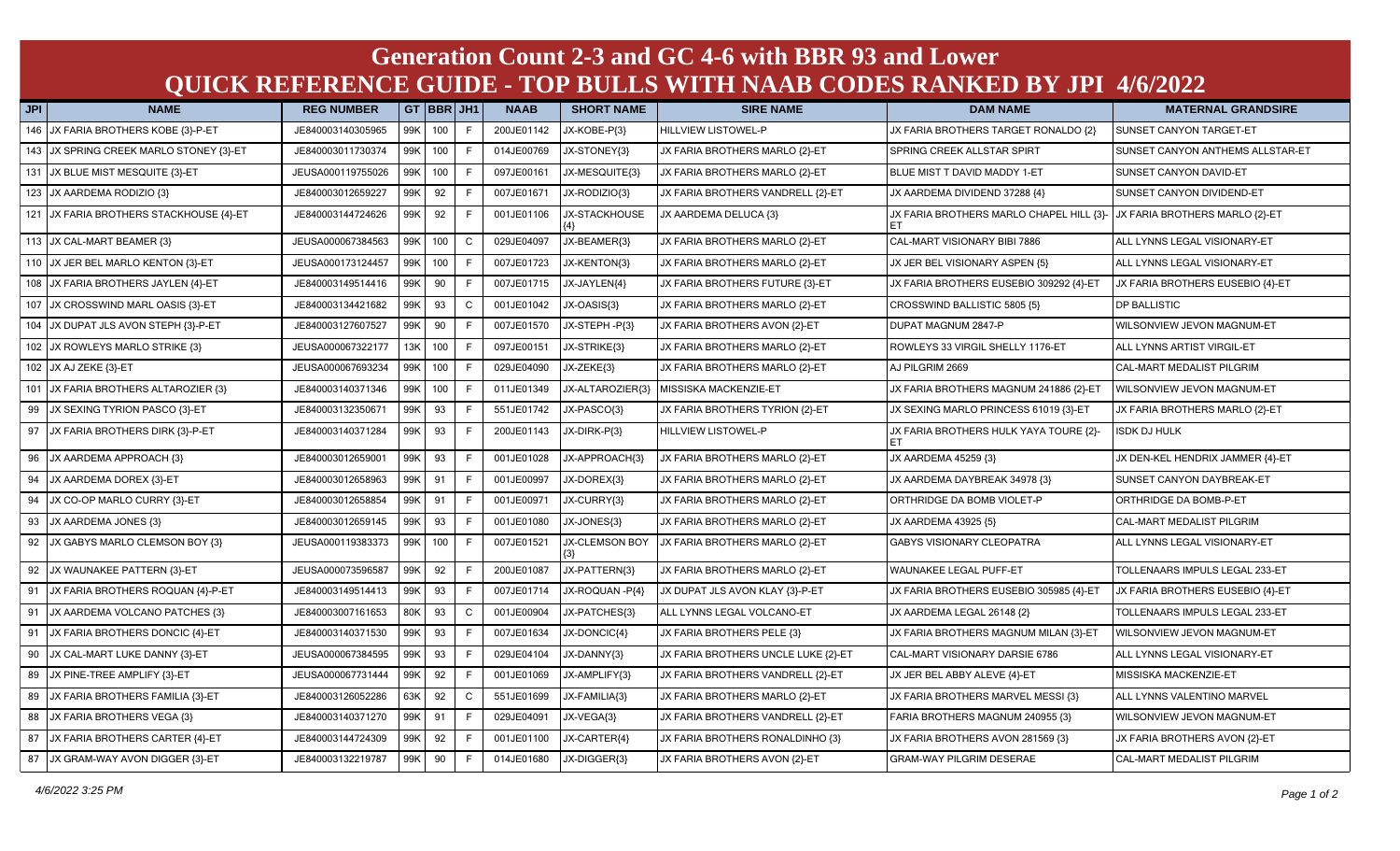## **Generation Count 2-3 and GC 4-6 with BBR 93 and Lower QUICK REFERENCE GUIDE - TOP BULLS WITH NAAB CODES RANKED BY JPI 4/6/2022**

| <b>JPI</b> | <b>NAME</b>                             | <b>REG NUMBER</b> |        | GT BBR JH1 |              | <b>NAAB</b> | <b>SHORT NAME</b> | <b>SIRE NAME</b>                    | <b>DAM NAME</b>                              | <b>MATERNAL GRANDSIRE</b>        |
|------------|-----------------------------------------|-------------------|--------|------------|--------------|-------------|-------------------|-------------------------------------|----------------------------------------------|----------------------------------|
| 146        | JX FARIA BROTHERS KOBE {3}-P-ET         | JE840003140305965 |        | 99K 100    | F            | 200JE01142  | JX-KOBE-P{3}      | <b>HILLVIEW LISTOWEL-P</b>          | JX FARIA BROTHERS TARGET RONALDO {2}         | SUNSET CANYON TARGET-ET          |
|            | 143 JX SPRING CREEK MARLO STONEY {3}-ET | JE840003011730374 |        | 99K 100    | F            | 014JE00769  | JX-STONEY{3}      | JX FARIA BROTHERS MARLO {2}-ET      | SPRING CREEK ALLSTAR SPIRT                   | SUNSET CANYON ANTHEMS ALLSTAR-ET |
| 131        | JX BLUE MIST MESQUITE {3}-ET            | JEUSA000119755026 | 99K    | 100        |              | 097JE00161  | JX-MESQUITE{3}    | JX FARIA BROTHERS MARLO {2}-ET      | BLUE MIST T DAVID MADDY 1-ET                 | SUNSET CANYON DAVID-ET           |
| 123        | JX AARDEMA RODIZIO {3}                  | JE840003012659227 | 99K    | 92         |              | 007JE01671  | JX-RODIZIO{3}     | JX FARIA BROTHERS VANDRELL {2}-ET   | JX AARDEMA DIVIDEND 37288 {4}                | SUNSET CANYON DIVIDEND-ET        |
|            | 121 JX FARIA BROTHERS STACKHOUSE {4}-ET | JE840003144724626 |        | 99K 92     | F.           | 001JE01106  | JX-STACKHOUSE     | JX AARDEMA DELUCA {3}               | JX FARIA BROTHERS MARLO CHAPEL HILL {3}-     | JX FARIA BROTHERS MARLO {2}-ET   |
|            | 113 JX CAL-MART BEAMER {3}              | JEUSA000067384563 |        | 99K 100    | $\mathsf{C}$ | 029JE04097  | JX-BEAMER{3}      | JX FARIA BROTHERS MARLO {2}-ET      | CAL-MART VISIONARY BIBI 7886                 | ALL LYNNS LEGAL VISIONARY-ET     |
|            | 110 JX JER BEL MARLO KENTON {3}-ET      | JEUSA000173124457 |        | 99K 100    | E            | 007JE01723  | JX-KENTON{3}      | JX FARIA BROTHERS MARLO {2}-ET      | JX JER BEL VISIONARY ASPEN {5}               | ALL LYNNS LEGAL VISIONARY-ET     |
| 108        | JX FARIA BROTHERS JAYLEN {4}-ET         | JE840003149514416 | 99K    | 90         |              | 007JE01715  | JX-JAYLEN{4}      | JX FARIA BROTHERS FUTURE {3}-ET     | JX FARIA BROTHERS EUSEBIO 309292 {4}-ET      | JX FARIA BROTHERS EUSEBIO {4}-ET |
| 107        | JX CROSSWIND MARL OASIS {3}-ET          | JE840003134421682 | 99K 93 |            | $\mathsf{C}$ | 001JE01042  | JX-OASIS{3}       | JX FARIA BROTHERS MARLO {2}-ET      | CROSSWIND BALLISTIC 5805 {5}                 | DP BALLISTIC                     |
| 104        | JX DUPAT JLS AVON STEPH {3}-P-ET        | JE840003127607527 | 99K    | 90         |              | 007JE01570  | JX-STEPH-P{3}     | JX FARIA BROTHERS AVON {2}-ET       | DUPAT MAGNUM 2847-P                          | WILSONVIEW JEVON MAGNUM-ET       |
| 102        | JX ROWLEYS MARLO STRIKE {3}             | JEUSA000067322177 |        | 13K 100    |              | 097JE00151  | JX-STRIKE{3}      | JX FARIA BROTHERS MARLO {2}-ET      | ROWLEYS 33 VIRGIL SHELLY 1176-ET             | ALL LYNNS ARTIST VIRGIL-ET       |
|            | 102 JX AJ ZEKE {3}-ET                   | JEUSA000067693234 | 99K    | 100        |              | 029JE04090  | JX-ZEKE{3}        | JX FARIA BROTHERS MARLO {2}-ET      | AJ PILGRIM 2669                              | CAL-MART MEDALIST PILGRIM        |
| 101        | JX FARIA BROTHERS ALTAROZIER {3}        | JE840003140371346 | 99K    | 100        | F.           | 011JE01349  | JX-ALTAROZIER{3}  | MISSISKA MACKENZIE-ET               | JX FARIA BROTHERS MAGNUM 241886 {2}-ET       | WILSONVIEW JEVON MAGNUM-ET       |
| 99         | JX SEXING TYRION PASCO {3}-ET           | JE840003132350671 | 99K    | 93         |              | 551JE01742  | JX-PASCO{3}       | JX FARIA BROTHERS TYRION {2}-ET     | JX SEXING MARLO PRINCESS 61019 {3}-ET        | JX FARIA BROTHERS MARLO {2}-ET   |
| 97         | JX FARIA BROTHERS DIRK {3}-P-ET         | JE840003140371284 | 99K 93 |            |              | 200JE01143  | JX-DIRK-P{3}      | <b>HILLVIEW LISTOWEL-P</b>          | JX FARIA BROTHERS HULK YAYA TOURE {2}-<br>EТ | <b>ISDK DJ HULK</b>              |
| 96         | JX AARDEMA APPROACH {3}                 | JE840003012659001 | 99K    | 93         | F.           | 001JE01028  | JX-APPROACH{3}    | JX FARIA BROTHERS MARLO {2}-ET      | JX AARDEMA 45259 {3}                         | JX DEN-KEL HENDRIX JAMMER {4}-ET |
| 94         | JX AARDEMA DOREX {3}-ET                 | JE840003012658963 | 99K    | 91         |              | 001JE00997  | JX-DOREX{3}       | JX FARIA BROTHERS MARLO {2}-ET      | JX AARDEMA DAYBREAK 34978 {3}                | SUNSET CANYON DAYBREAK-ET        |
| 94         | JX CO-OP MARLO CURRY {3}-ET             | JE840003012658854 | 99K 91 |            |              | 001JE00971  | JX-CURRY{3}       | JX FARIA BROTHERS MARLO {2}-ET      | ORTHRIDGE DA BOMB VIOLET-P                   | ORTHRIDGE DA BOMB-P-ET           |
| 93         | JX AARDEMA JONES {3}                    | JE840003012659145 | 99K    | 93         |              | 001JE01080  | JX-JONES{3}       | JX FARIA BROTHERS MARLO {2}-ET      | JX AARDEMA 43925 {5}                         | CAL-MART MEDALIST PILGRIM        |
| 92         | JX GABYS MARLO CLEMSON BOY {3}          | JEUSA000119383373 |        | 99K 100    | F.           | 007JE01521  | JX-CLEMSON BOY    | JX FARIA BROTHERS MARLO {2}-ET      | GABYS VISIONARY CLEOPATRA                    | ALL LYNNS LEGAL VISIONARY-ET     |
| 92         | JX WAUNAKEE PATTERN {3}-ET              | JEUSA000073596587 | 99K    | 92         | E            | 200JE01087  | JX-PATTERN{3}     | JX FARIA BROTHERS MARLO {2}-ET      | WAUNAKEE LEGAL PUFF-ET                       | TOLLENAARS IMPULS LEGAL 233-ET   |
| 91         | JX FARIA BROTHERS ROQUAN {4}-P-ET       | JE840003149514413 |        | 99K 93     | E            | 007JE01714  | JX-ROQUAN-P{4}    | JX DUPAT JLS AVON KLAY {3}-P-ET     | JX FARIA BROTHERS EUSEBIO 305985 {4}-ET      | JX FARIA BROTHERS EUSEBIO {4}-ET |
| 91         | JX AARDEMA VOLCANO PATCHES {3}          | JE840003007161653 | 80K    | 93         | $\mathsf{C}$ | 001JE00904  | JX-PATCHES{3}     | ALL LYNNS LEGAL VOLCANO-ET          | JX AARDEMA LEGAL 26148 {2}                   | TOLLENAARS IMPULS LEGAL 233-ET   |
| 91         | JX FARIA BROTHERS DONCIC {4}-ET         | JE840003140371530 | 99K    | 93         |              | 007JE01634  | JX-DONCIC{4}      | JX FARIA BROTHERS PELE {3}          | JX FARIA BROTHERS MAGNUM MILAN {3}-ET        | WILSONVIEW JEVON MAGNUM-ET       |
| 90         | JX CAL-MART LUKE DANNY {3}-ET           | JEUSA000067384595 | 99K    | 93         | E            | 029JE04104  | JX-DANNY{3}       | JX FARIA BROTHERS UNCLE LUKE {2}-ET | CAL-MART VISIONARY DARSIE 6786               | ALL LYNNS LEGAL VISIONARY-ET     |
| 89         | JX PINE-TREE AMPLIFY {3}-ET             | JEUSA000067731444 | 99K    | 92         |              | 001JE01069  | JX-AMPLIFY{3}     | JX FARIA BROTHERS VANDRELL {2}-ET   | JX JER BEL ABBY ALEVE {4}-ET                 | MISSISKA MACKENZIE-ET            |
| 89         | JX FARIA BROTHERS FAMILIA {3}-ET        | JE840003126052286 | 63K    | 92         | $\mathsf{C}$ | 551JE01699  | JX-FAMILIA{3}     | JX FARIA BROTHERS MARLO {2}-ET      | JX FARIA BROTHERS MARVEL MESSI {3}           | ALL LYNNS VALENTINO MARVEL       |
| 88         | JX FARIA BROTHERS VEGA {3}              | JE840003140371270 | 99K 91 |            | F.           | 029JE04091  | JX-VEGA{3}        | JX FARIA BROTHERS VANDRELL {2}-ET   | FARIA BROTHERS MAGNUM 240955 {3}             | WILSONVIEW JEVON MAGNUM-ET       |
| 87         | JX FARIA BROTHERS CARTER {4}-ET         | JE840003144724309 | 99K    | 92         |              | 001JE01100  | JX-CARTER{4}      | JX FARIA BROTHERS RONALDINHO {3}    | JX FARIA BROTHERS AVON 281569 {3}            | JX FARIA BROTHERS AVON {2}-ET    |
| 87         | JX GRAM-WAY AVON DIGGER {3}-ET          | JE840003132219787 | 99K    | 90         |              | 014JE01680  | JX-DIGGER{3}      | JX FARIA BROTHERS AVON {2}-ET       | <b>GRAM-WAY PILGRIM DESERAE</b>              | CAL-MART MEDALIST PILGRIM        |